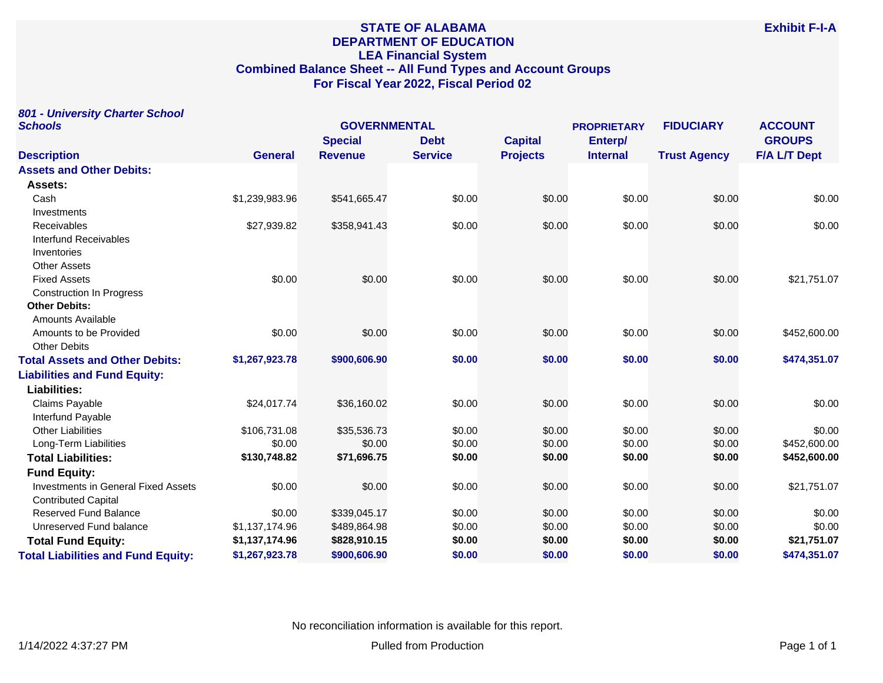# **STATE OF ALABAMA DEPARTMENT OF EDUCATION LEA Financial System Combined Balance Sheet -- All Fund Types and Account Groups For Fiscal Year 2022, Fiscal Period 02**

# **801 - University Charter School**

| <b>Schools</b>                             | <b>GOVERNMENTAL</b> |                |                |                 | <b>PROPRIETARY</b> | <b>FIDUCIARY</b>    | <b>ACCOUNT</b>      |
|--------------------------------------------|---------------------|----------------|----------------|-----------------|--------------------|---------------------|---------------------|
|                                            |                     | <b>Special</b> | <b>Debt</b>    | <b>Capital</b>  | Enterp/            |                     | <b>GROUPS</b>       |
| <b>Description</b>                         | <b>General</b>      | <b>Revenue</b> | <b>Service</b> | <b>Projects</b> | <b>Internal</b>    | <b>Trust Agency</b> | <b>F/A L/T Dept</b> |
| <b>Assets and Other Debits:</b>            |                     |                |                |                 |                    |                     |                     |
| Assets:                                    |                     |                |                |                 |                    |                     |                     |
| Cash                                       | \$1,239,983.96      | \$541,665.47   | \$0.00         | \$0.00          | \$0.00             | \$0.00              | \$0.00              |
| Investments                                |                     |                |                |                 |                    |                     |                     |
| Receivables                                | \$27,939.82         | \$358,941.43   | \$0.00         | \$0.00          | \$0.00             | \$0.00              | \$0.00              |
| Interfund Receivables                      |                     |                |                |                 |                    |                     |                     |
| Inventories                                |                     |                |                |                 |                    |                     |                     |
| <b>Other Assets</b>                        |                     |                |                |                 |                    |                     |                     |
| <b>Fixed Assets</b>                        | \$0.00              | \$0.00         | \$0.00         | \$0.00          | \$0.00             | \$0.00              | \$21,751.07         |
| <b>Construction In Progress</b>            |                     |                |                |                 |                    |                     |                     |
| <b>Other Debits:</b>                       |                     |                |                |                 |                    |                     |                     |
| Amounts Available                          |                     |                |                |                 |                    |                     |                     |
| Amounts to be Provided                     | \$0.00              | \$0.00         | \$0.00         | \$0.00          | \$0.00             | \$0.00              | \$452,600.00        |
| <b>Other Debits</b>                        |                     |                |                |                 |                    |                     |                     |
| <b>Total Assets and Other Debits:</b>      | \$1,267,923.78      | \$900,606.90   | \$0.00         | \$0.00          | \$0.00             | \$0.00              | \$474,351.07        |
| <b>Liabilities and Fund Equity:</b>        |                     |                |                |                 |                    |                     |                     |
| <b>Liabilities:</b>                        |                     |                |                |                 |                    |                     |                     |
| Claims Payable                             | \$24,017.74         | \$36,160.02    | \$0.00         | \$0.00          | \$0.00             | \$0.00              | \$0.00              |
| Interfund Payable                          |                     |                |                |                 |                    |                     |                     |
| <b>Other Liabilities</b>                   | \$106,731.08        | \$35,536.73    | \$0.00         | \$0.00          | \$0.00             | \$0.00              | \$0.00              |
| Long-Term Liabilities                      | \$0.00              | \$0.00         | \$0.00         | \$0.00          | \$0.00             | \$0.00              | \$452,600.00        |
| <b>Total Liabilities:</b>                  | \$130,748.82        | \$71,696.75    | \$0.00         | \$0.00          | \$0.00             | \$0.00              | \$452,600.00        |
| <b>Fund Equity:</b>                        |                     |                |                |                 |                    |                     |                     |
| <b>Investments in General Fixed Assets</b> | \$0.00              | \$0.00         | \$0.00         | \$0.00          | \$0.00             | \$0.00              | \$21,751.07         |
| <b>Contributed Capital</b>                 |                     |                |                |                 |                    |                     |                     |
| <b>Reserved Fund Balance</b>               | \$0.00              | \$339,045.17   | \$0.00         | \$0.00          | \$0.00             | \$0.00              | \$0.00              |
| Unreserved Fund balance                    | \$1,137,174.96      | \$489,864.98   | \$0.00         | \$0.00          | \$0.00             | \$0.00              | \$0.00              |
| <b>Total Fund Equity:</b>                  | \$1,137,174.96      | \$828,910.15   | \$0.00         | \$0.00          | \$0.00             | \$0.00              | \$21,751.07         |
| <b>Total Liabilities and Fund Equity:</b>  | \$1,267,923.78      | \$900,606.90   | \$0.00         | \$0.00          | \$0.00             | \$0.00              | \$474,351.07        |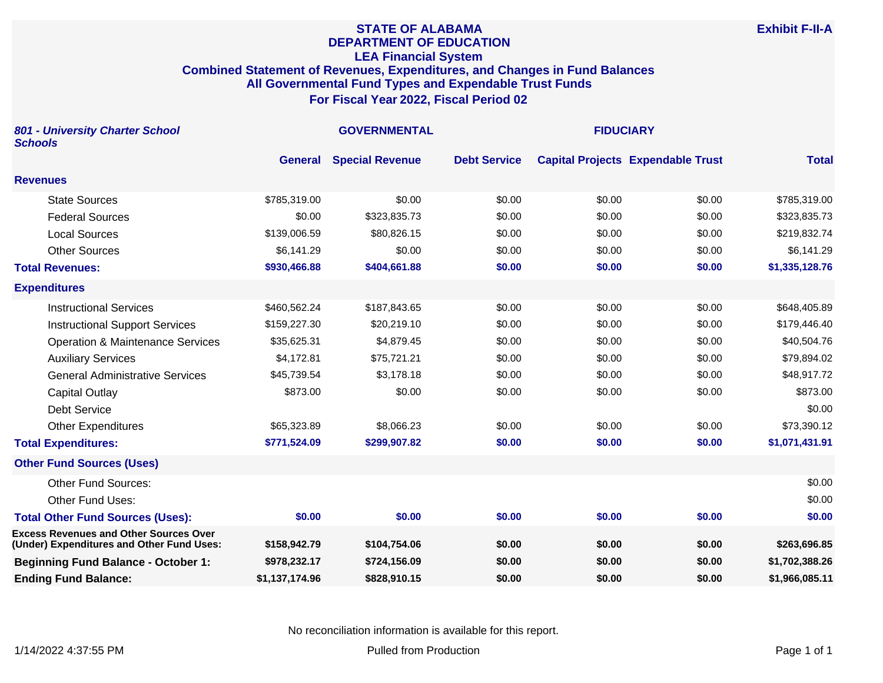## **STATE OF ALABAMA DEPARTMENT OF EDUCATION LEA Financial System Combined Statement of Revenues, Expenditures, and Changes in Fund Balances All Governmental Fund Types and Expendable Trust Funds For Fiscal Year 2022, Fiscal Period 02**

| 801 - University Charter School<br><b>Schools</b>                                          |                | <b>GOVERNMENTAL</b>    |                     |        |                                          |                |
|--------------------------------------------------------------------------------------------|----------------|------------------------|---------------------|--------|------------------------------------------|----------------|
|                                                                                            | <b>General</b> | <b>Special Revenue</b> | <b>Debt Service</b> |        | <b>Capital Projects Expendable Trust</b> | <b>Total</b>   |
| <b>Revenues</b>                                                                            |                |                        |                     |        |                                          |                |
| <b>State Sources</b>                                                                       | \$785,319.00   | \$0.00                 | \$0.00              | \$0.00 | \$0.00                                   | \$785,319.00   |
| <b>Federal Sources</b>                                                                     | \$0.00         | \$323,835.73           | \$0.00              | \$0.00 | \$0.00                                   | \$323,835.73   |
| <b>Local Sources</b>                                                                       | \$139,006.59   | \$80,826.15            | \$0.00              | \$0.00 | \$0.00                                   | \$219,832.74   |
| <b>Other Sources</b>                                                                       | \$6,141.29     | \$0.00                 | \$0.00              | \$0.00 | \$0.00                                   | \$6,141.29     |
| <b>Total Revenues:</b>                                                                     | \$930,466.88   | \$404,661.88           | \$0.00              | \$0.00 | \$0.00                                   | \$1,335,128.76 |
| <b>Expenditures</b>                                                                        |                |                        |                     |        |                                          |                |
| <b>Instructional Services</b>                                                              | \$460,562.24   | \$187,843.65           | \$0.00              | \$0.00 | \$0.00                                   | \$648,405.89   |
| <b>Instructional Support Services</b>                                                      | \$159,227.30   | \$20,219.10            | \$0.00              | \$0.00 | \$0.00                                   | \$179,446.40   |
| <b>Operation &amp; Maintenance Services</b>                                                | \$35,625.31    | \$4,879.45             | \$0.00              | \$0.00 | \$0.00                                   | \$40,504.76    |
| <b>Auxiliary Services</b>                                                                  | \$4,172.81     | \$75,721.21            | \$0.00              | \$0.00 | \$0.00                                   | \$79,894.02    |
| <b>General Administrative Services</b>                                                     | \$45,739.54    | \$3,178.18             | \$0.00              | \$0.00 | \$0.00                                   | \$48,917.72    |
| <b>Capital Outlay</b>                                                                      | \$873.00       | \$0.00                 | \$0.00              | \$0.00 | \$0.00                                   | \$873.00       |
| <b>Debt Service</b>                                                                        |                |                        |                     |        |                                          | \$0.00         |
| <b>Other Expenditures</b>                                                                  | \$65,323.89    | \$8,066.23             | \$0.00              | \$0.00 | \$0.00                                   | \$73,390.12    |
| <b>Total Expenditures:</b>                                                                 | \$771,524.09   | \$299,907.82           | \$0.00              | \$0.00 | \$0.00                                   | \$1,071,431.91 |
| <b>Other Fund Sources (Uses)</b>                                                           |                |                        |                     |        |                                          |                |
| <b>Other Fund Sources:</b>                                                                 |                |                        |                     |        |                                          | \$0.00         |
| Other Fund Uses:                                                                           |                |                        |                     |        |                                          | \$0.00         |
| <b>Total Other Fund Sources (Uses):</b>                                                    | \$0.00         | \$0.00                 | \$0.00              | \$0.00 | \$0.00                                   | \$0.00         |
| <b>Excess Revenues and Other Sources Over</b><br>(Under) Expenditures and Other Fund Uses: | \$158,942.79   | \$104,754.06           | \$0.00              | \$0.00 | \$0.00                                   | \$263,696.85   |
| <b>Beginning Fund Balance - October 1:</b>                                                 | \$978,232.17   | \$724,156.09           | \$0.00              | \$0.00 | \$0.00                                   | \$1,702,388.26 |
| <b>Ending Fund Balance:</b>                                                                | \$1,137,174.96 | \$828,910.15           | \$0.00              | \$0.00 | \$0.00                                   | \$1,966,085.11 |

No reconciliation information is available for this report.

**Exhibit F-II-A**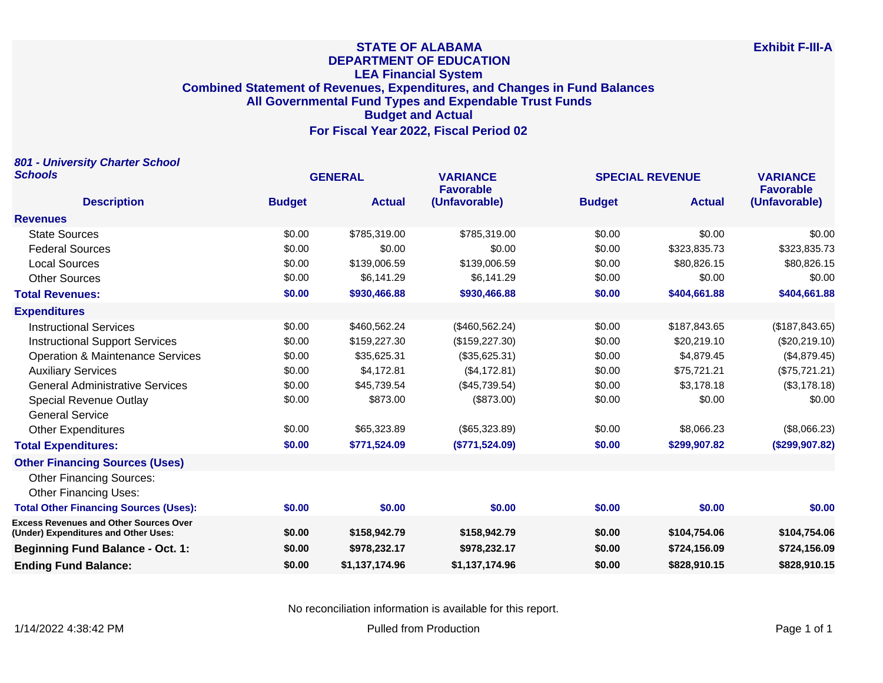#### **STATE OF ALABAMA DEPARTMENT OF EDUCATION LEA Financial System Combined Statement of Revenues, Expenditures, and Changes in Fund Balances All Governmental Fund Types and Expendable Trust Funds Budget and Actual For Fiscal Year 2022, Fiscal Period 02**

**801 - University Charter School Schools GENERAL VARIANCE SPECIAL REVENUE VARIANCE Description Budget Actual Favorable (Unfavorable) Budget Actual Favorable (Unfavorable) Revenues** State Sources \$0.00 \$785,319.00 \$785,319.00 \$0.00 \$0.00 \$0.00 Federal Sources \$0.00 \$0.00 \$0.00 \$0.00 \$323,835.73 \$323,835.73 Local Sources \$0.00 \$139,006.59 \$139,006.59 \$0.00 \$80,826.15 \$80,826.15 Other Sources \$0.00 \$6,141.29 \$6,141.29 \$0.00 \$0.00 \$0.00 **Total Revenues: \$0.00 \$930,466.88 \$930,466.88 \$0.00 \$404,661.88 \$404,661.88 Expenditures** Instructional Services \$0.00 \$460,562.24 (\$460,562.24) \$0.00 \$187,843.65 (\$187,843.65) Instructional Support Services \$0.00 \$159,227.30 (\$159,227.30) \$0.00 \$20,219.10 (\$20,219.10) Operation & Maintenance Services  $$0.00$   $$35,625.31$   $$35,625.31$   $$0.00$   $$4,879.45$   $$4,879.45$   $$4,879.45$ Auxiliary Services \$0.00 \$4,172.81 (\$4,172.81) \$0.00 \$75,721.21 (\$75,721.21) General Administrative Services 63.178.18 \$0.00 \$45.739.54 (\$45.739.54) \$0.00 \$3,178.18 (\$3,178.18) (\$3,178.18 Special Revenue Outlay **50.00** \$873.00 \$873.00 (\$873.00) \$0.00 \$0.00 \$0.00 \$0.00 \$0.00 General Service Other Expenditures \$0.00 \$65,323.89 (\$65,323.89) \$0.00 \$8,066.23 (\$8,066.23) **Total Expenditures: \$0.00 \$771,524.09 (\$771,524.09) \$0.00 \$299,907.82 (\$299,907.82) Other Financing Sources (Uses)** Other Financing Sources: Other Financing Uses: **Total Other Financing Sources (Uses): \$0.00 \$0.00 \$0.00 \$0.00 \$0.00 \$0.00 Excess Revenues and Other Sources Over (Under) Expenditures and Other Uses: \$0.00 \$158,942.79 \$158,942.79 \$0.00 \$104,754.06 \$104,754.06 Beginning Fund Balance - Oct. 1: \$0.00 \$978,232.17 \$978,232.17 \$0.00 \$724,156.09 \$724,156.09 Ending Fund Balance: \$0.00 \$1,137,174.96 \$1,137,174.96 \$0.00 \$828,910.15 \$828,910.15**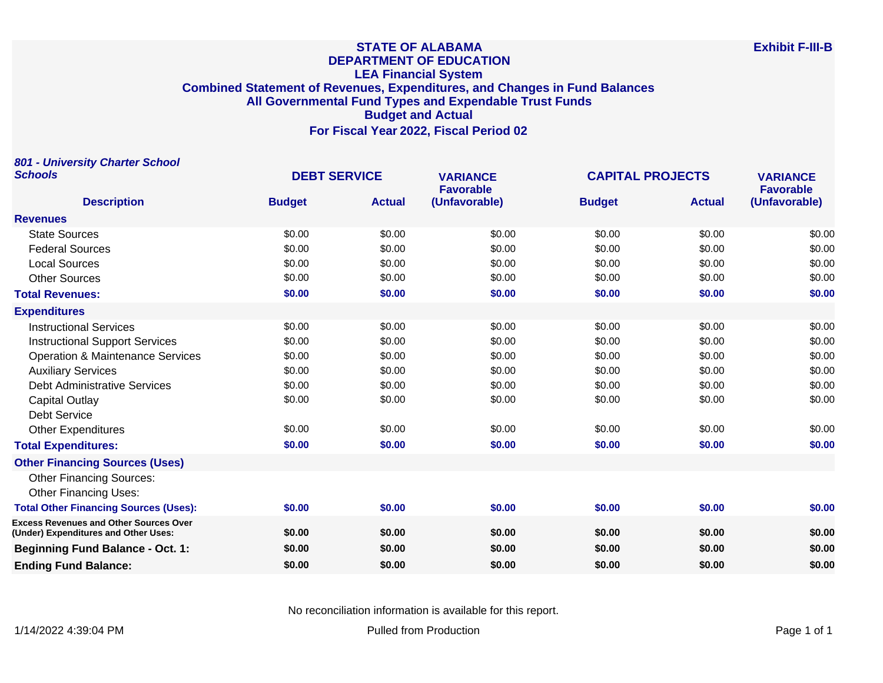#### **STATE OF ALABAMA DEPARTMENT OF EDUCATION LEA Financial System Combined Statement of Revenues, Expenditures, and Changes in Fund Balances All Governmental Fund Types and Expendable Trust Funds Budget and Actual For Fiscal Year 2022, Fiscal Period 02**

**801 - University Charter School Schools DEBT SERVICE VARIANCE CAPITAL PROJECTS VARIANCE Description Budget Actual Favorable (Unfavorable) Budget Actual Favorable (Unfavorable) Revenues** State Sources \$0.00 \$0.00 \$0.00 \$0.00 \$0.00 \$0.00 50.00 \$0.00 \$0.00 \$0.00 \$0.00 \$0.00 \$0.00 \$0.00 \$0.00 \$0.00 \$0.00 \$0.00 \$0.00 \$0.00 \$0.00 \$0.00 \$0.00 Local Sources \$0.00 \$0.00 \$0.00 \$0.00 \$0.00 \$0.00 Other Sources \$0.00 \$0.00 \$0.00 \$0.00 \$0.00 \$0.00 **Total Revenues: \$0.00 \$0.00 \$0.00 \$0.00 \$0.00 \$0.00 Expenditures** Instructional Services \$0.00 \$0.00 \$0.00 \$0.00 \$0.00 \$0.00 Instructional Support Services \$0.00 \$0.00 \$0.00 \$0.00 \$0.00 \$0.00 Operation & Maintenance Services  $$0.00$  \$0.00  $$0.00$  \$0.00 \$0.00 \$0.00 \$0.00 \$0.00 \$0.00 Auxiliary Services \$0.00 \$0.00 \$0.00 \$0.00 \$0.00 \$0.00 Debt Administrative Services 60.00 \$0.00 \$0.00 \$0.00 \$0.00 \$0.00 \$0.00 \$0.00 \$0.00 \$0.00 Capital Outlay \$0.00 \$0.00 \$0.00 \$0.00 \$0.00 \$0.00 Debt Service Other Expenditures \$0.00 \$0.00 \$0.00 \$0.00 \$0.00 \$0.00 **Total Expenditures: \$0.00 \$0.00 \$0.00 \$0.00 \$0.00 \$0.00 Other Financing Sources (Uses)** Other Financing Sources: Other Financing Uses: **Total Other Financing Sources (Uses): \$0.00 \$0.00 \$0.00 \$0.00 \$0.00 \$0.00 Excess Revenues and Other Sources Over (Under) Expenditures and Other Uses: \$0.00 \$0.00 \$0.00 \$0.00 \$0.00 \$0.00 Beginning Fund Balance - Oct. 1: \$0.00 \$0.00 \$0.00 \$0.00 \$0.00 \$0.00 Ending Fund Balance: \$0.00 \$0.00 \$0.00 \$0.00 \$0.00 \$0.00**